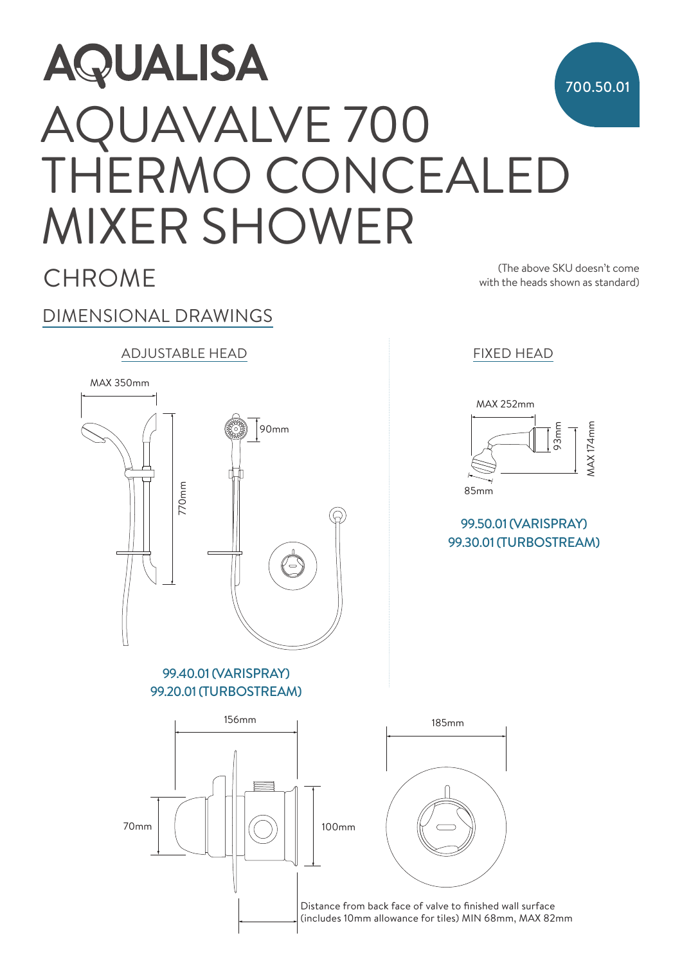## **AQUALISA** 700.50.01 AQUAVALVE 700 THERMO CONCEALED MIXER SHOWER

**CHROME** 

(The above SKU doesn't come with the heads shown as standard)

## DIMENSIONAL DRAWINGS ADJUSTABLE HEAD FIXED HEAD MAX 350mm MAX 350mm 90mm MAX 252mm MAX 252mm 93mm  $\overline{a}$ MAX 174mm **MAX 174mm** 90mm 90mm 770mm 770mm  $\overline{a}$ 85mm 85mm 99.50.01 (VARISPRAY) 99.30.01 (TURBOSTREAM)  $\overline{a}$ 99.40.01 (VARISPRAY) 99.20.01 (TURBOSTREAM) 156mm 185mm 185mm 185mm  $70mm$  | | ||| $\sqrt{})$ | | | 100mm 70mm 100mm 70mm 100mm

Distance from back face of valve to finished wall surface (includes 10mm allowance for tiles) MIN 68mm, MAX 82mm